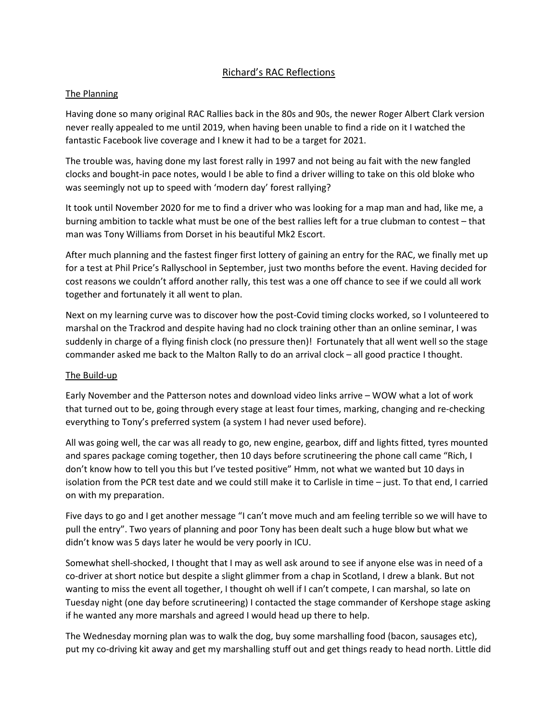## Richard's RAC Reflections

## The Planning

Having done so many original RAC Rallies back in the 80s and 90s, the newer Roger Albert Clark version never really appealed to me until 2019, when having been unable to find a ride on it I watched the fantastic Facebook live coverage and I knew it had to be a target for 2021.

The trouble was, having done my last forest rally in 1997 and not being au fait with the new fangled clocks and bought-in pace notes, would I be able to find a driver willing to take on this old bloke who was seemingly not up to speed with 'modern day' forest rallying?

It took until November 2020 for me to find a driver who was looking for a map man and had, like me, a burning ambition to tackle what must be one of the best rallies left for a true clubman to contest – that man was Tony Williams from Dorset in his beautiful Mk2 Escort.

After much planning and the fastest finger first lottery of gaining an entry for the RAC, we finally met up for a test at Phil Price's Rallyschool in September, just two months before the event. Having decided for cost reasons we couldn't afford another rally, this test was a one off chance to see if we could all work together and fortunately it all went to plan.

Next on my learning curve was to discover how the post-Covid timing clocks worked, so I volunteered to marshal on the Trackrod and despite having had no clock training other than an online seminar, I was suddenly in charge of a flying finish clock (no pressure then)! Fortunately that all went well so the stage commander asked me back to the Malton Rally to do an arrival clock – all good practice I thought.

## The Build-up

Early November and the Patterson notes and download video links arrive – WOW what a lot of work that turned out to be, going through every stage at least four times, marking, changing and re-checking everything to Tony's preferred system (a system I had never used before).

All was going well, the car was all ready to go, new engine, gearbox, diff and lights fitted, tyres mounted and spares package coming together, then 10 days before scrutineering the phone call came "Rich, I don't know how to tell you this but I've tested positive" Hmm, not what we wanted but 10 days in isolation from the PCR test date and we could still make it to Carlisle in time – just. To that end, I carried on with my preparation.

Five days to go and I get another message "I can't move much and am feeling terrible so we will have to pull the entry". Two years of planning and poor Tony has been dealt such a huge blow but what we didn't know was 5 days later he would be very poorly in ICU.

Somewhat shell-shocked, I thought that I may as well ask around to see if anyone else was in need of a co-driver at short notice but despite a slight glimmer from a chap in Scotland, I drew a blank. But not wanting to miss the event all together, I thought oh well if I can't compete, I can marshal, so late on Tuesday night (one day before scrutineering) I contacted the stage commander of Kershope stage asking if he wanted any more marshals and agreed I would head up there to help.

The Wednesday morning plan was to walk the dog, buy some marshalling food (bacon, sausages etc), put my co-driving kit away and get my marshalling stuff out and get things ready to head north. Little did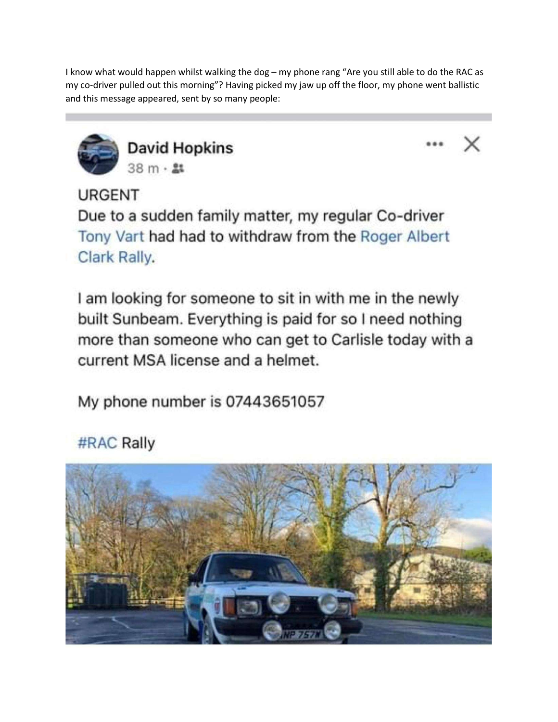I know what would happen whilst walking the dog - my phone rang "Are you still able to do the RAC as my co-driver pulled out this morning"? Having picked my jaw up off the floor, my phone went ballistic and this message appeared, sent by so many people:



**David Hopkins**  $38 m \cdot 21$ 



**URGENT** 

Due to a sudden family matter, my regular Co-driver Tony Vart had had to withdraw from the Roger Albert Clark Rally.

I am looking for someone to sit in with me in the newly built Sunbeam. Everything is paid for so I need nothing more than someone who can get to Carlisle today with a current MSA license and a helmet.

My phone number is 07443651057

#RAC Rally

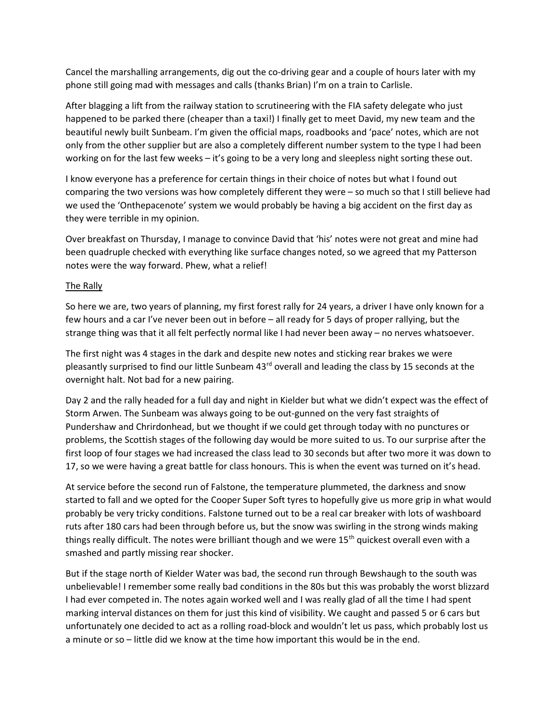Cancel the marshalling arrangements, dig out the co-driving gear and a couple of hours later with my phone still going mad with messages and calls (thanks Brian) I'm on a train to Carlisle.

After blagging a lift from the railway station to scrutineering with the FIA safety delegate who just happened to be parked there (cheaper than a taxi!) I finally get to meet David, my new team and the beautiful newly built Sunbeam. I'm given the official maps, roadbooks and 'pace' notes, which are not only from the other supplier but are also a completely different number system to the type I had been working on for the last few weeks – it's going to be a very long and sleepless night sorting these out.

I know everyone has a preference for certain things in their choice of notes but what I found out comparing the two versions was how completely different they were – so much so that I still believe had we used the 'Onthepacenote' system we would probably be having a big accident on the first day as they were terrible in my opinion.

Over breakfast on Thursday, I manage to convince David that 'his' notes were not great and mine had been quadruple checked with everything like surface changes noted, so we agreed that my Patterson notes were the way forward. Phew, what a relief!

## The Rally

So here we are, two years of planning, my first forest rally for 24 years, a driver I have only known for a few hours and a car I've never been out in before – all ready for 5 days of proper rallying, but the strange thing was that it all felt perfectly normal like I had never been away – no nerves whatsoever.

The first night was 4 stages in the dark and despite new notes and sticking rear brakes we were pleasantly surprised to find our little Sunbeam  $43<sup>rd</sup>$  overall and leading the class by 15 seconds at the overnight halt. Not bad for a new pairing.

Day 2 and the rally headed for a full day and night in Kielder but what we didn't expect was the effect of Storm Arwen. The Sunbeam was always going to be out-gunned on the very fast straights of Pundershaw and Chrirdonhead, but we thought if we could get through today with no punctures or problems, the Scottish stages of the following day would be more suited to us. To our surprise after the first loop of four stages we had increased the class lead to 30 seconds but after two more it was down to 17, so we were having a great battle for class honours. This is when the event was turned on it's head.

At service before the second run of Falstone, the temperature plummeted, the darkness and snow started to fall and we opted for the Cooper Super Soft tyres to hopefully give us more grip in what would probably be very tricky conditions. Falstone turned out to be a real car breaker with lots of washboard ruts after 180 cars had been through before us, but the snow was swirling in the strong winds making things really difficult. The notes were brilliant though and we were  $15<sup>th</sup>$  quickest overall even with a smashed and partly missing rear shocker.

But if the stage north of Kielder Water was bad, the second run through Bewshaugh to the south was unbelievable! I remember some really bad conditions in the 80s but this was probably the worst blizzard I had ever competed in. The notes again worked well and I was really glad of all the time I had spent marking interval distances on them for just this kind of visibility. We caught and passed 5 or 6 cars but unfortunately one decided to act as a rolling road-block and wouldn't let us pass, which probably lost us a minute or so – little did we know at the time how important this would be in the end.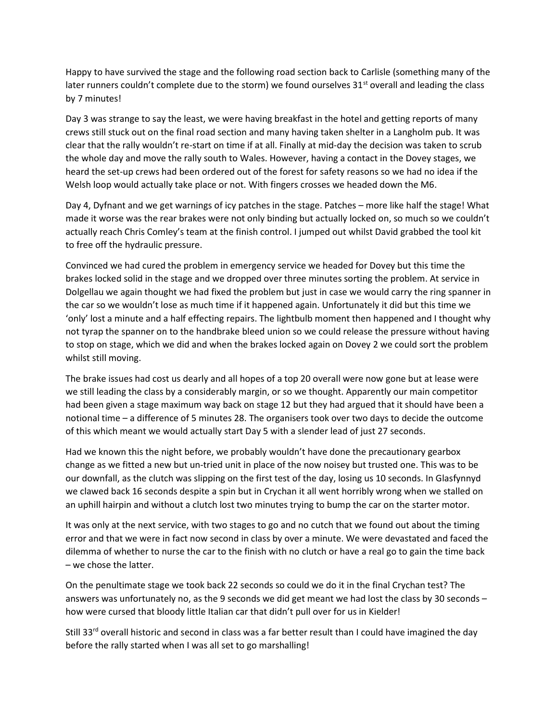Happy to have survived the stage and the following road section back to Carlisle (something many of the later runners couldn't complete due to the storm) we found ourselves  $31^{st}$  overall and leading the class by 7 minutes!

Day 3 was strange to say the least, we were having breakfast in the hotel and getting reports of many crews still stuck out on the final road section and many having taken shelter in a Langholm pub. It was clear that the rally wouldn't re-start on time if at all. Finally at mid-day the decision was taken to scrub the whole day and move the rally south to Wales. However, having a contact in the Dovey stages, we heard the set-up crews had been ordered out of the forest for safety reasons so we had no idea if the Welsh loop would actually take place or not. With fingers crosses we headed down the M6.

Day 4, Dyfnant and we get warnings of icy patches in the stage. Patches – more like half the stage! What made it worse was the rear brakes were not only binding but actually locked on, so much so we couldn't actually reach Chris Comley's team at the finish control. I jumped out whilst David grabbed the tool kit to free off the hydraulic pressure.

Convinced we had cured the problem in emergency service we headed for Dovey but this time the brakes locked solid in the stage and we dropped over three minutes sorting the problem. At service in Dolgellau we again thought we had fixed the problem but just in case we would carry the ring spanner in the car so we wouldn't lose as much time if it happened again. Unfortunately it did but this time we 'only' lost a minute and a half effecting repairs. The lightbulb moment then happened and I thought why not tyrap the spanner on to the handbrake bleed union so we could release the pressure without having to stop on stage, which we did and when the brakes locked again on Dovey 2 we could sort the problem whilst still moving.

The brake issues had cost us dearly and all hopes of a top 20 overall were now gone but at lease were we still leading the class by a considerably margin, or so we thought. Apparently our main competitor had been given a stage maximum way back on stage 12 but they had argued that it should have been a notional time – a difference of 5 minutes 28. The organisers took over two days to decide the outcome of this which meant we would actually start Day 5 with a slender lead of just 27 seconds.

Had we known this the night before, we probably wouldn't have done the precautionary gearbox change as we fitted a new but un-tried unit in place of the now noisey but trusted one. This was to be our downfall, as the clutch was slipping on the first test of the day, losing us 10 seconds. In Glasfynnyd we clawed back 16 seconds despite a spin but in Crychan it all went horribly wrong when we stalled on an uphill hairpin and without a clutch lost two minutes trying to bump the car on the starter motor.

It was only at the next service, with two stages to go and no cutch that we found out about the timing error and that we were in fact now second in class by over a minute. We were devastated and faced the dilemma of whether to nurse the car to the finish with no clutch or have a real go to gain the time back – we chose the latter.

On the penultimate stage we took back 22 seconds so could we do it in the final Crychan test? The answers was unfortunately no, as the 9 seconds we did get meant we had lost the class by 30 seconds – how were cursed that bloody little Italian car that didn't pull over for us in Kielder!

Still 33<sup>rd</sup> overall historic and second in class was a far better result than I could have imagined the day before the rally started when I was all set to go marshalling!